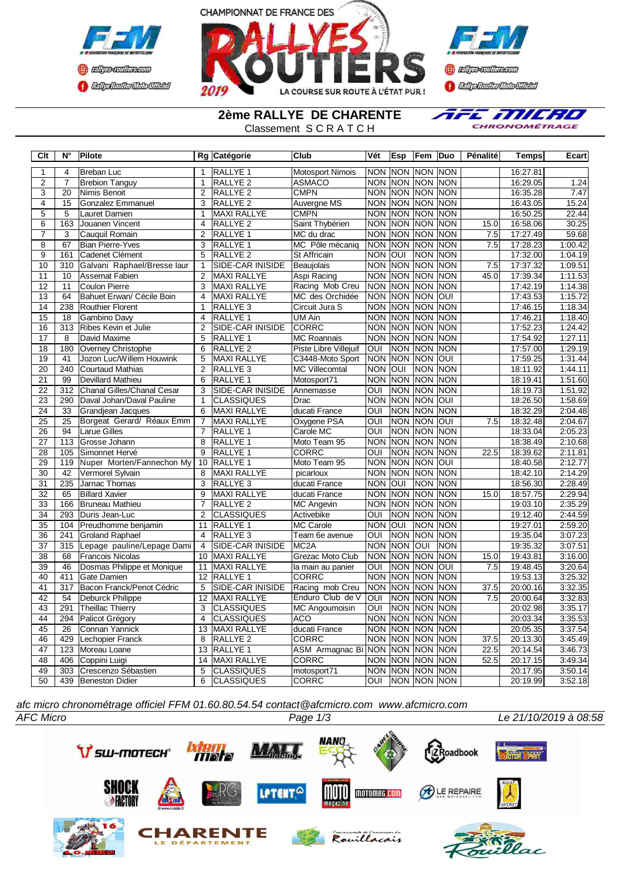



**Confederation CENTRAL MEDICATE** 

**2ème RALLYE DE CHARENTE**

Classement S C R A T C H



| Clt                   | $N^{\circ}$      | <b>Pilote</b>               |                                  | Rg Catégorie        | <b>Club</b>                 | Vét                     | <b>Esp</b>     | Fem             | Duo                | Pénalité          | Temps    | Ecart   |
|-----------------------|------------------|-----------------------------|----------------------------------|---------------------|-----------------------------|-------------------------|----------------|-----------------|--------------------|-------------------|----------|---------|
| 1                     | $\overline{4}$   | Breban Luc                  | $\mathbf{1}$                     | <b>RALLYE 1</b>     | <b>Motosport Nimois</b>     |                         |                | NON NON NON NON |                    |                   | 16:27.81 |         |
| $\overline{2}$        | $\overline{7}$   | <b>Brebion Tanguy</b>       | $\mathbf{1}$                     | <b>RALLYE 2</b>     | <b>ASMACO</b>               |                         | <b>NON NON</b> | <b>NON NON</b>  |                    |                   | 16:29.05 | 1.24    |
| 3                     | 20               | Nimis Benoit                | $\overline{2}$                   | RALLYE <sub>2</sub> | <b>CMPN</b>                 |                         | NON NON        | NON NON         |                    |                   | 16:35.28 | 7.47    |
| $\overline{4}$        | $\overline{15}$  | Gonzalez Emmanuel           | $\overline{3}$                   | <b>RALLYE 2</b>     | Auvergne MS                 | <b>NON NON</b>          |                |                 | <b>NON NON</b>     |                   | 16:43.05 | 15.24   |
| 5                     | 5                | Lauret Damien               | $\mathbf{1}$                     | <b>MAXI RALLYE</b>  | <b>CMPN</b>                 |                         | NON NON        | NON NON         |                    |                   | 16:50.25 | 22.44   |
| 6                     | 163              | Jouanen Vincent             | 4                                | RALLYE <sub>2</sub> | Saint Thybérien             | <b>NON</b>              | <b>NON</b>     | <b>NON</b>      | <b>NON</b>         | 15.0              | 16:58.06 | 30.25   |
| $\overline{7}$        | 3                | Cauquil Romain              | $\overline{2}$                   | RALLYE 1            | MC du drac                  |                         | NON NON        | NON NON         |                    | 7.5               | 17:27.49 | 59.68   |
| $\overline{8}$        | 67               | <b>Bian Pierre-Yves</b>     | $\overline{3}$                   | RALLYE <sub>1</sub> | MC Pôle mécaniq             | <b>NON NON</b>          |                | <b>NON</b>      | <b>NON</b>         | 7.5               | 17:28.23 | 1:00.42 |
| $\overline{9}$        | 161              | Cadenet Clément             | 5                                | RALLYE <sub>2</sub> | <b>St Affricain</b>         | <b>NON</b>              | IUO            | <b>NON</b>      | <b>NON</b>         |                   | 17:32.00 | 1:04.19 |
| 10                    | $\overline{310}$ | Galvani Raphael/Bresse laur | $\mathbf{1}$                     | SIDE-CAR INISIDE    | Beauiolais                  | <b>NON</b>              | <b>NON</b>     | <b>NON</b>      | <b>INON</b>        | $\overline{7.5}$  | 17:37.32 | 1:09.51 |
| 11                    | $\overline{10}$  | <b>Assemat Fabien</b>       | $\overline{2}$                   | <b>MAXI RALLYE</b>  | Aspi Racing                 | $\overline{NON}$        | <b>NON</b>     | <b>NON</b>      | <b>NON</b>         | 45.0              | 17:39.34 | 1:11.53 |
| $\overline{12}$       | 11               | <b>Coulon Pierre</b>        | 3                                | <b>MAXI RALLYE</b>  | Racing Mob Creu             | <b>NON</b>              | <b>NON</b>     | <b>NON</b>      | <b>NON</b>         |                   | 17:42.19 | 1:14.38 |
| 13                    | 64               | Bahuet Erwan/ Cécile Boin   | $\overline{\mathbf{4}}$          | <b>MAXI RALLYE</b>  | MC des Orchidée             | <b>NON</b>              | <b>NON</b>     | <b>NON</b>      | loui               |                   | 17:43.53 | 1:15.72 |
| 14                    | 238              | <b>Routhier Florent</b>     | $\mathbf{1}$                     | RALLYE <sub>3</sub> | Circuit Jura S              | NON NON                 |                | NON NON         |                    |                   | 17:46.15 | 1:18.34 |
| 15                    | 18               | Gambino Davy                | 4                                | <b>RALLYE 1</b>     | $\overline{\text{UM A}}$ in | <b>NON</b>              | Inon           | <b>NON</b>      | <b>INON</b>        |                   | 17:46.21 | 1:18.40 |
| 16                    | 313              | Ribes Kevin et Julie        | $\overline{2}$                   | SIDE-CAR INISIDE    | <b>CORRC</b>                |                         | NON NON        | NON NON         |                    |                   | 17:52.23 | 1:24.42 |
| 17                    | 8                | David Maxime                | 5                                | RALLYE <sub>1</sub> | <b>MC Roannais</b>          | NON NON                 |                | <b>NON</b>      | <b>NON</b>         |                   | 17:54.92 | 1:27.11 |
| 18                    | 180              | Overney Christophe          | 6                                | RALLYE <sub>2</sub> | Piste Libre Villejuif       | OUI                     | <b>NON</b>     | <b>NON</b>      | <b>NON</b>         |                   | 17:57.00 | 1:29.19 |
| $\overline{19}$       | 41               | Jozon Luc/Willem Houwink    | $\overline{5}$                   | <b>MAXI RALLYE</b>  | C3448-Moto Sport            | <b>NON</b>              | <b>NON</b>     | <b>NON</b>      | loui               |                   | 17:59.25 | 1:31.44 |
| 20                    | 240              | <b>Courtaud Mathias</b>     | $\overline{2}$                   | RALLYE <sub>3</sub> | <b>MC Villecomtal</b>       | <b>NON</b>              | IOUI           | <b>NON</b>      | <b>NON</b>         |                   | 18:11.92 | 1:44.11 |
| 21                    | 99               | Devillard Mathieu           | 6                                | <b>RALLYE 1</b>     | Motosport71                 | <b>NON NON</b>          |                | <b>NON</b>      | <b>INON</b>        |                   | 18:19.41 | 1:51.60 |
| $\overline{22}$       | $\overline{312}$ | Chanal Gilles/Chanal Cesar  | $\overline{3}$                   | SIDE-CAR INISIDE    | Annemasse                   | $\overline{\text{OUI}}$ | <b>NON</b>     | <b>NON</b>      | <b>NON</b>         |                   | 18:19.73 | 1:51.92 |
| 23                    | 290              | Daval Johan/Daval Pauline   | $\mathbf{1}$                     | <b>CLASSIQUES</b>   | Drac                        | $\overline{NON}$        | <b>NON</b>     | <b>NON</b>      | loui               |                   | 18:26.50 | 1:58.69 |
| $\overline{24}$       | 33               | Grandjean Jacques           | 6                                | <b>MAXI RALLYE</b>  | ducati France               | OUI                     | <b>NON</b>     | <b>NON</b>      | <b>NON</b>         |                   | 18:32.29 | 2:04.48 |
| 25                    | 25               | Borgeat Gerard/ Réaux Emm   | $\overline{7}$                   | <b>MAXI RALLYE</b>  | Oxygene PSA                 | OUI                     | <b>NON</b>     | NON OUI         |                    | 7.5               | 18:32.48 | 2:04.67 |
| 26                    | 94               | Larue Gilles                | 7                                | RALLYE <sub>1</sub> | Carole MC                   | OUI                     | <b>NON</b>     | NON NON         |                    |                   | 18:33.04 | 2:05.23 |
| 27                    | 113              | Grosse Johann               | 8                                | RALLYE <sub>1</sub> | Moto Team 95                | <b>NON</b>              | <b>NON</b>     | <b>NON</b>      | <b>NON</b>         |                   | 18:38.49 | 2:10.68 |
| 28                    | 105              | Simonnet Hervé              | $\overline{9}$                   | <b>RALLYE 1</b>     | <b>CORRC</b>                | ОUІ                     | <b>NON</b>     | <b>NON</b>      | <b>NON</b>         | 22.5              | 18:39.62 | 2:11.81 |
| 29                    | 119              | Nuper Morten/Fannechon My   | 10                               | RALLYE <sub>1</sub> | Moto Team 95                | <b>NON</b>              | <b>NON</b>     | <b>NON</b>      | loui               |                   | 18:40.58 | 2:12.77 |
| 30                    | 42               | Vermorel Sylvain            | 8                                | <b>MAXI RALLYE</b>  | picarloux                   |                         | <b>NON NON</b> | <b>NON</b>      | <b>NON</b>         |                   | 18:42.10 | 2:14.29 |
| $\overline{31}$       | 235              | Jarnac Thomas               | $\overline{3}$                   | <b>RALLYE 3</b>     | ducati France               | <b>NON</b>              | loui           | <b>NON</b>      | <b>NON</b>         |                   | 18:56.30 | 2:28.49 |
| $\overline{32}$       | 65               | <b>Billard Xavier</b>       | 9                                | <b>MAXI RALLYE</b>  | ducati France               | NON NON                 |                | <b>NON NON</b>  |                    | 15.0              | 18:57.75 | 2:29.94 |
| $\overline{33}$       | 166              | <b>Bruneau Mathieu</b>      | $\overline{7}$                   | RALLYE <sub>2</sub> | <b>MC Angevin</b>           | <b>NON</b>              | <b>NON</b>     | <b>NON</b>      | <b>NON</b>         |                   | 19:03.10 | 2:35.29 |
| 34                    | 293              | Duris Jean-Luc              | $\overline{2}$                   | <b>CLASSIQUES</b>   | Activebike                  | OUI                     | <b>NON</b>     | <b>NON</b>      | <b>NON</b>         |                   | 19:12.40 | 2:44.59 |
| 35                    | 104              | Preudhomme benjamin         | 11                               | RALLYE <sub>1</sub> | <b>MC Carole</b>            | <b>NON</b>              | loui           | <b>NON</b>      | <b>NON</b>         |                   | 19:27.01 | 2:59.20 |
| 36                    | 241              | <b>Groland Raphael</b>      | $\overline{4}$                   | RALLYE <sub>3</sub> | Team 6e avenue              | OUI                     | <b>NON</b>     | NON NON         |                    |                   | 19:35.04 | 3:07.23 |
| $\overline{37}$       | 315              | Lepage pauline/Lepage Dami  | $\overline{4}$                   | SIDE-CAR INISIDE    | MC <sub>2</sub> A           | <b>NON</b>              | <b>NON</b>     | OUI             | <b>NON</b>         |                   | 19:35.32 | 3:07.51 |
| 38                    | 68               | <b>Francois Nicolas</b>     | 10                               | <b>MAXI RALLYE</b>  | Grezac Moto Club            | <b>NON</b>              | <b>NON</b>     | <b>NON</b>      | <b>NON</b>         | 15.0              | 19:43.81 | 3:16.00 |
| 39                    | 46               | Dosmas Philippe et Monique  | 11                               | <b>MAXI RALLYE</b>  | la main au panier           | OUI                     | <b>NON</b>     | <b>NON</b>      | loui               | 7.5               | 19:48.45 | 3:20.64 |
| 40                    | 411              | Gate Damien                 | 12                               | RALLYE <sub>1</sub> | <b>CORRC</b>                | <b>NON</b>              | <b>NON</b>     | <b>NON</b>      | <b>NON</b>         |                   | 19:53.13 | 3:25.32 |
| 41                    | 317              | Bacon Franck/Penot Cédric   | $\overline{5}$                   | SIDE-CAR INISIDE    | Racing mob Creu             | <b>NON</b>              | <b>NON</b>     | <b>NON</b>      | <b>NON</b>         | 37.5              | 20:00.16 | 3:32.35 |
| $\overline{42}$       | $\overline{54}$  | Deburck Philippe            | $\overline{12}$                  | <b>MAXI RALLYE</b>  | Enduro Club de V            | $\overline{\text{OUI}}$ | <b>NON</b>     | <b>NON</b>      | <b>INON</b>        | 7.5               | 20:00.64 | 3:32.83 |
| 43                    | 291              | <b>Theillac Thierry</b>     | $\overline{3}$                   | <b>CLASSIQUES</b>   | <b>MC Angoumoisin</b>       | $\overline{\text{OUI}}$ | <b>NON</b>     |                 | NON NON            |                   | 20:02.98 | 3:35.17 |
| 44                    | 294              | Palicot Grégory             | 4                                | <b>CLASSIQUES</b>   | <b>ACO</b>                  | <b>NON</b>              | <b>NON</b>     | <b>NON</b>      | <b>NON</b>         |                   | 20:03.34 | 3:35.53 |
| 45                    | 26               | Connan Yannick              | 13                               | <b>MAXI RALLYE</b>  | ducati France               | <b>NON</b>              | <b>NON</b>     | <b>NON</b>      | <b>NON</b>         |                   | 20:05.35 | 3:37.54 |
| 46                    | 429              | Lechopier Franck            | $\overline{8}$                   | RALLYE <sub>2</sub> | <b>CORRC</b>                | <b>NON</b>              | <b>NON</b>     |                 | <b>NON NON</b>     | $\overline{37.5}$ | 20:13.30 | 3:45.49 |
| 47                    | 123              | Moreau Loane                | 13                               | <b>RALLYE 1</b>     | ASM Armagnac Bi NON         |                         | <b>NON</b>     | <b>NON</b>      | <b>NON</b>         | 22.5              | 20:14.54 | 3:46.73 |
| 48                    | 406              | Coppini Luigi               | 14                               | <b>MAXI RALLYE</b>  | CORRC                       | <b>NON</b>              | <b>NON</b>     | <b>NON</b>      | <b>INON</b>        | 52.5              | 20:17.15 | 3:49.34 |
| 49<br>$\overline{50}$ | 303              | Crescenzo Sébastien         | $\overline{5}$<br>$\overline{6}$ | <b>CLASSIQUES</b>   | motosport71                 | <b>NON</b>              | <b>NON</b>     | <b>NON</b>      | <b>NON</b>         |                   | 20:17.95 | 3:50.14 |
|                       |                  | 439 Beneston Didier         |                                  | <b>CLASSIQUES</b>   | <b>CORRC</b>                | OUI                     |                |                 | <b>NON NON NON</b> |                   | 20:19.99 | 3:52.18 |

*afc micro chronométrage officiel FFM 01.60.80.54.54 contact@afcmicro.com www.afcmicro.com*

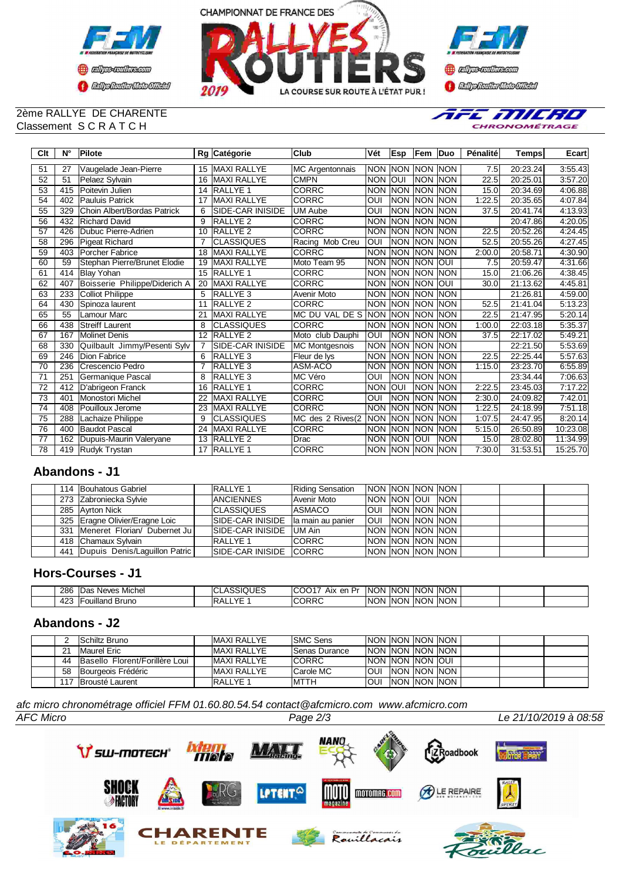



### 2ème RALLYE DE CHARENTE Classement S C R A T C H



| Clt             | $N^{\circ}$ | Pilote                        |                 | Rg Catégorie        | <b>Club</b>            | Vét        | Esp                     | Fem        | <b>Duo</b>  | Pénalité | <b>Temps</b> | Ecart    |
|-----------------|-------------|-------------------------------|-----------------|---------------------|------------------------|------------|-------------------------|------------|-------------|----------|--------------|----------|
| 51              | 27          | Vaugelade Jean-Pierre         | 15              | <b>MAXI RALLYE</b>  | <b>MC Argentonnais</b> | <b>NON</b> | <b>NON</b>              | <b>NON</b> | <b>INON</b> | 7.5      | 20:23.24     | 3:55.43  |
| 52              | 51          | Pelaez Sylvain                | 16              | <b>MAXI RALLYE</b>  | <b>CMPN</b>            | <b>NON</b> | OUI                     | NON INON   |             | 22.5     | 20:25.01     | 3:57.20  |
| 53              | 415         | Poitevin Julien               | 14              | <b>RALLYE 1</b>     | <b>CORRC</b>           | <b>NON</b> | <b>NON</b>              | <b>NON</b> | <b>NON</b>  | 15.0     | 20:34.69     | 4:06.88  |
| 54              | 402         | <b>Pauluis Patrick</b>        | 17              | <b>MAXI RALLYE</b>  | <b>CORRC</b>           | OUI        | <b>NON</b>              | NON INON   |             | 1:22.5   | 20:35.65     | 4:07.84  |
| 55              | 329         | Choin Albert/Bordas Patrick   | 6               | SIDE-CAR INISIDE    | <b>UM Aube</b>         | OUI        | <b>NON</b>              | <b>NON</b> | <b>NON</b>  | 37.5     | 20:41.74     | 4:13.93  |
| 56              | 432         | <b>Richard David</b>          | 9               | <b>RALLYE 2</b>     | <b>CORRC</b>           | <b>NON</b> | <b>NON</b>              | NON INON   |             |          | 20:47.86     | 4:20.05  |
| 57              | 426         | Dubuc Pierre-Adrien           | 10              | RALLYE <sub>2</sub> | <b>CORRC</b>           | <b>NON</b> | <b>NON</b>              | <b>NON</b> | <b>INON</b> | 22.5     | 20:52.26     | 4:24.45  |
| 58              | 296         | <b>Pigeat Richard</b>         |                 | <b>CLASSIQUES</b>   | Racing Mob Creu        | OUI        | <b>NON</b>              | NON INON   |             | 52.5     | 20:55.26     | 4:27.45  |
| 59              | 403         | <b>Porcher Fabrice</b>        | 18              | <b>MAXI RALLYE</b>  | <b>CORRC</b>           | <b>NON</b> | <b>NON</b>              | <b>NON</b> | <b>INON</b> | 2:00.0   | 20:58.71     | 4:30.90  |
| 60              | 59          | Stephan Pierre/Brunet Elodie  | 19              | <b>MAXI RALLYE</b>  | Moto Team 95           | <b>NON</b> | <b>NON</b>              | <b>NON</b> | loui        | 7.5      | 20:59.47     | 4:31.66  |
| 61              | 414         | <b>Blay Yohan</b>             | 15              | <b>RALLYE 1</b>     | <b>CORRC</b>           | <b>NON</b> | <b>NON</b>              | <b>NON</b> | <b>INON</b> | 15.0     | 21:06.26     | 4:38.45  |
| 62              | 407         | Boisserie Philippe/Diderich A | 20              | <b>MAXI RALLYE</b>  | <b>CORRC</b>           | <b>NON</b> | <b>NON</b>              | <b>NON</b> | loui        | 30.0     | 21:13.62     | 4:45.81  |
| 63              | 233         | <b>Colliot Philippe</b>       | 5               | <b>RALLYE 3</b>     | Avenir Moto            | <b>NON</b> | <b>INON</b>             | <b>NON</b> | <b>INON</b> |          | 21:26.81     | 4:59.00  |
| 64              | 430         | Spinoza laurent               | 11              | <b>RALLYE 2</b>     | <b>CORRC</b>           | <b>NON</b> | <b>INON</b>             | NON INON   |             | 52.5     | 21:41.04     | 5:13.23  |
| 65              | 55          | Lamour Marc                   | 21              | <b>MAXI RALLYE</b>  | MC DU VAL DE S         | <b>NON</b> | INON                    | <b>NON</b> | <b>INON</b> | 22.5     | 21:47.95     | 5:20.14  |
| 66              | 438         | <b>Streiff Laurent</b>        | 8               | <b>CLASSIQUES</b>   | <b>CORRC</b>           | <b>NON</b> | <b>INON</b>             | NON INON   |             | 1:00.0   | 22:03.18     | 5:35.37  |
| 67              | 167         | <b>Molinet Denis</b>          | 12              | RALLYE <sub>2</sub> | Moto club Dauphi       | OUI        | <b>NON</b>              | <b>NON</b> | <b>INON</b> | 37.5     | 22:17.02     | 5:49.21  |
| 68              | 330         | Quilbault Jimmy/Pesenti Sylv  | 7               | SIDE-CAR INISIDE    | MC Montgesnois         | <b>NON</b> | <b>NON</b>              | NON INON   |             |          | 22:21.50     | 5:53.69  |
| 69              | 246         | <b>Dion Fabrice</b>           | 6               | RALLYE <sub>3</sub> | Fleur de lys           | <b>NON</b> | <b>NON</b>              | <b>NON</b> | <b>INON</b> | 22.5     | 22:25.44     | 5:57.63  |
| $\overline{70}$ | 236         | Crescencio Pedro              |                 | RALLYE <sub>3</sub> | ASM-ACO                | <b>NON</b> | <b>INON</b>             | <b>NON</b> | <b>INON</b> | 1:15.0   | 23:23.70     | 6:55.89  |
| 71              | 251         | Germanique Pascal             | 8               | RALLYE <sub>3</sub> | MC Véro                | OUI        | <b>NON</b>              | <b>NON</b> | <b>INON</b> |          | 23:34.44     | 7:06.63  |
| $\overline{72}$ | 412         | D'abrigeon Franck             | 16              | RALLYE <sub>1</sub> | <b>CORRC</b>           | <b>NON</b> | $\overline{\text{OUI}}$ | <b>NON</b> | <b>NON</b>  | 2:22.5   | 23:45.03     | 7:17.22  |
| $\overline{73}$ | 401         | Monostori Michel              | 22              | <b>MAXI RALLYE</b>  | <b>CORRC</b>           | OUI        | <b>NON</b>              | <b>NON</b> | <b>INON</b> | 2:30.0   | 24:09.82     | 7:42.01  |
| $\overline{74}$ | 408         | <b>Pouilloux Jerome</b>       | $\overline{23}$ | <b>MAXI RALLYE</b>  | <b>CORRC</b>           | <b>NON</b> | <b>NON</b>              | <b>NON</b> | <b>INON</b> | 1:22.5   | 24:18.99     | 7:51.18  |
| 75              | 288         | Lachaize Philippe             | 9               | CLASSIQUES          | MC des 2 Rives(2       | <b>NON</b> | <b>NON</b>              | <b>NON</b> | <b>NON</b>  | 1:07.5   | 24:47.95     | 8:20.14  |
| 76              | 400         | <b>Baudot Pascal</b>          | 24              | <b>MAXI RALLYE</b>  | <b>CORRC</b>           | <b>NON</b> | <b>NON</b>              | <b>NON</b> | <b>NON</b>  | 5:15.0   | 26:50.89     | 10:23.08 |
| 77              | 162         | Dupuis-Maurin Valeryane       | 13              | RALLYE <sub>2</sub> | Drac                   | <b>NON</b> | <b>NON</b>              | <b>OUI</b> | <b>NON</b>  | 15.0     | 28:02.80     | 11:34.99 |
| 78              | 419         | Rudyk Trystan                 | 17              | <b>RALLYE 1</b>     | <b>CORRC</b>           | <b>NON</b> | <b>INON</b>             | <b>NON</b> | <b>INON</b> | 7:30.0   | 31:53.51     | 15:25.70 |

## **Abandons - J1**

|  | 114 Bouhatous Gabriel             | <b>RALLYE 1</b>         | <b>Riding Sensation</b> | INON INON INON INON I        |  |            |  |  |
|--|-----------------------------------|-------------------------|-------------------------|------------------------------|--|------------|--|--|
|  | 273 Zabroniecka Sylvie            | <b>ANCIENNES</b>        | Avenir Moto             | INON INON IOUI               |  | <b>NON</b> |  |  |
|  | 285 Ayrton Nick                   | <b>CLASSIQUES</b>       | ASMACO                  | <b>OUI NON NON NON</b>       |  |            |  |  |
|  | 325 Eragne Olivier/Eragne Loic    | <b>SIDE-CAR INISIDE</b> | la main au panier       | <b>TOUL INON INON INON I</b> |  |            |  |  |
|  | 331 Meneret Florian/ Dubernet Jul | <b>SIDE-CAR INISIDE</b> | lUM Ain                 | INON INON INON INON          |  |            |  |  |
|  | 418 Chamaux Sylvain               | <b>RALLYE 1</b>         | <b>CORRC</b>            | NON INON INON INON           |  |            |  |  |
|  | 441 Dupuis Denis/Laguillon Patric | SIDE-CAR INISIDE CORRC  |                         | NON NON NON NON              |  |            |  |  |

### **Hors-Courses - J1**

| 286                   | .<br>Michel<br>าร Neves :<br>IDas | $\cdot$ $ -$<br>$\cdot$<br>$\overline{\mathbf{1}}$<br>ハロヒご | ICO<br>Aix<br>Dr.<br>$\sim$ | INC<br>וחר | <b>INON</b> | <b>NON</b> | <b>INON</b> |  |  |
|-----------------------|-----------------------------------|------------------------------------------------------------|-----------------------------|------------|-------------|------------|-------------|--|--|
| 10 <sup>o</sup><br>᠇୵ | ulland Bruno<br>$\sim$<br>vu      | $\sqrt{2}$<br>$\overline{\phantom{a}}$                     | <b>ICORRC</b>               | <b>NON</b> | -ING<br>וחר | <b>NON</b> | <b>INON</b> |  |  |

## **Abandons - J2**

|     | <b>Schiltz Bruno</b>             | <b>IMAXI RALLYE</b> | <b>ISMC Sens</b>     | INON INON INON INON        |                |  |  |  |
|-----|----------------------------------|---------------------|----------------------|----------------------------|----------------|--|--|--|
| 21  | Maurel Eric                      | <b>IMAXI RALLYE</b> | <b>Senas Durance</b> | <b>INON INON INON INON</b> |                |  |  |  |
| 44  | Basello Florent/Forillère Loui I | <b>IMAXI RALLYE</b> | <b>ICORRC</b>        | <b>INON INON INON IOUI</b> |                |  |  |  |
| 58  | Bourgeois Frédéric               | <b>IMAXI RALLYE</b> | Carole MC            | <b>OUI INON INON INON</b>  |                |  |  |  |
| 117 | <b>Brousté Laurent</b>           | <b>RALLYE 1</b>     | <b>MTTH</b>          | <b>OUI</b>                 | INON INON INON |  |  |  |

*AFC Micro Page 2/3 Le 21/10/2019 à 08:58 afc micro chronométrage officiel FFM 01.60.80.54.54 contact@afcmicro.com www.afcmicro.com*